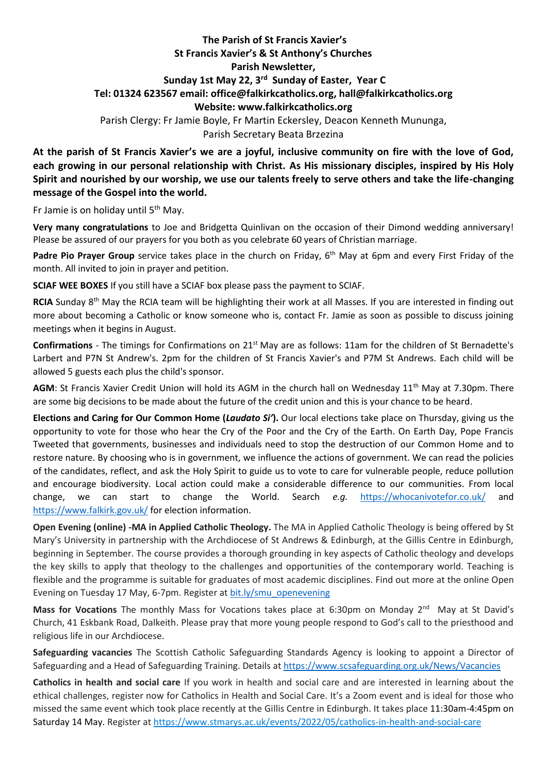## **The Parish of St Francis Xavier's St Francis Xavier's & St Anthony's Churches Parish Newsletter, Sunday 1st May 22, 3 rd Sunday of Easter, Year C Tel: 01324 623567 email: office@falkirkcatholics.org, [hall@falkirkcatholics.org](mailto:hall@falkirkcatholics.org) Website: [www.falkirkcatholics.org](http://www.falkirkcatholics.org/)**  Parish Clergy: Fr Jamie Boyle, Fr Martin Eckersley, Deacon Kenneth Mununga, Parish Secretary Beata Brzezina

**At the parish of St Francis Xavier's we are a joyful, inclusive community on fire with the love of God, each growing in our personal relationship with Christ. As His missionary disciples, inspired by His Holy Spirit and nourished by our worship, we use our talents freely to serve others and take the life-changing message of the Gospel into the world.** 

Fr Jamie is on holiday until 5<sup>th</sup> May.

**Very many congratulations** to Joe and Bridgetta Quinlivan on the occasion of their Dimond wedding anniversary! Please be assured of our prayers for you both as you celebrate 60 years of Christian marriage.

Padre Pio Prayer Group service takes place in the church on Friday, 6<sup>th</sup> May at 6pm and every First Friday of the month. All invited to join in prayer and petition.

**SCIAF WEE BOXES** If you still have a SCIAF box please pass the payment to SCIAF.

RCIA Sunday 8<sup>th</sup> May the RCIA team will be highlighting their work at all Masses. If you are interested in finding out more about becoming a Catholic or know someone who is, contact Fr. Jamie as soon as possible to discuss joining meetings when it begins in August.

**Confirmations** - The timings for Confirmations on 21st May are as follows: 11am for the children of St Bernadette's Larbert and P7N St Andrew's. 2pm for the children of St Francis Xavier's and P7M St Andrews. Each child will be allowed 5 guests each plus the child's sponsor.

**AGM**: St Francis Xavier Credit Union will hold its AGM in the church hall on Wednesday 11<sup>th</sup> May at 7.30pm. There are some big decisions to be made about the future of the credit union and this is your chance to be heard.

**Elections and Caring for Our Common Home (***Laudato Si'***).** Our local elections take place on Thursday, giving us the opportunity to vote for those who hear the Cry of the Poor and the Cry of the Earth. On Earth Day, Pope Francis Tweeted that governments, businesses and individuals need to stop the destruction of our Common Home and to restore nature. By choosing who is in government, we influence the actions of government. We can read the policies of the candidates, reflect, and ask the Holy Spirit to guide us to vote to care for vulnerable people, reduce pollution and encourage biodiversity. Local action could make a considerable difference to our communities. From local change, we can start to change the World. Search *e.g.* <https://whocanivotefor.co.uk/> and [https://www.falkirk.gov.uk/](https://falkirk.gov.uk/) for election information.

**Open Evening (online) -MA in Applied Catholic Theology.** The MA in Applied Catholic Theology is being offered by St Mary's University in partnership with the Archdiocese of St Andrews & Edinburgh, at the Gillis Centre in Edinburgh, beginning in September. The course provides a thorough grounding in key aspects of Catholic theology and develops the key skills to apply that theology to the challenges and opportunities of the contemporary world. Teaching is flexible and the programme is suitable for graduates of most academic disciplines. Find out more at the online Open Evening on Tuesday 17 May, 6-7pm. Register at [bit.ly/smu\\_openevening](https://nam12.safelinks.protection.outlook.com/?url=https%3A%2F%2Fus02web.zoom.us%2Fwebinar%2Fregister%2FWN_Bt6IlaNOThWbqhRPTeISyg&data=05%7C01%7C%7Cb803e93f82014ecc54f308da285a66fe%7C84df9e7fe9f640afb435aaaaaaaaaaaa%7C1%7C0%7C637866666376761636%7CUnknown%7CTWFpbGZsb3d8eyJWIjoiMC4wLjAwMDAiLCJQIjoiV2luMzIiLCJBTiI6Ik1haWwiLCJXVCI6Mn0%3D%7C3000%7C%7C%7C&sdata=acMVjtnbuSqeTnWFZuxHaVvQwYVBAVv1hDS%2BMbhb5W4%3D&reserved=0)

**Mass for Vocations** The monthly Mass for Vocations takes place at 6:30pm on Monday 2<sup>nd</sup> May at St David's Church, 41 Eskbank Road, Dalkeith. Please pray that more young people respond to God's call to the priesthood and religious life in our Archdiocese.

**Safeguarding vacancies** The Scottish Catholic Safeguarding Standards Agency is looking to appoint a Director of Safeguarding and a Head of Safeguarding Training. Details at [https://www.scsafeguarding.org.uk/News/Vacancies](https://nam12.safelinks.protection.outlook.com/?url=https%3A%2F%2Fwww.scsafeguarding.org.uk%2FNews%2FVacancies&data=05%7C01%7C%7Cb803e93f82014ecc54f308da285a66fe%7C84df9e7fe9f640afb435aaaaaaaaaaaa%7C1%7C0%7C637866666376761636%7CUnknown%7CTWFpbGZsb3d8eyJWIjoiMC4wLjAwMDAiLCJQIjoiV2luMzIiLCJBTiI6Ik1haWwiLCJXVCI6Mn0%3D%7C3000%7C%7C%7C&sdata=OZQt2brlShP09Ds7sgYDHAOg9VPY%2FQicKjTLP1XMyfc%3D&reserved=0)

**Catholics in health and social care** If you work in health and social care and are interested in learning about the ethical challenges, register now for Catholics in Health and Social Care. It's a Zoom event and is ideal for those who missed the same event which took place recently at the Gillis Centre in Edinburgh. It takes place 11:30am-4:45pm on Saturday 14 May. Register at <https://www.stmarys.ac.uk/events/2022/05/catholics-in-health-and-social-care>